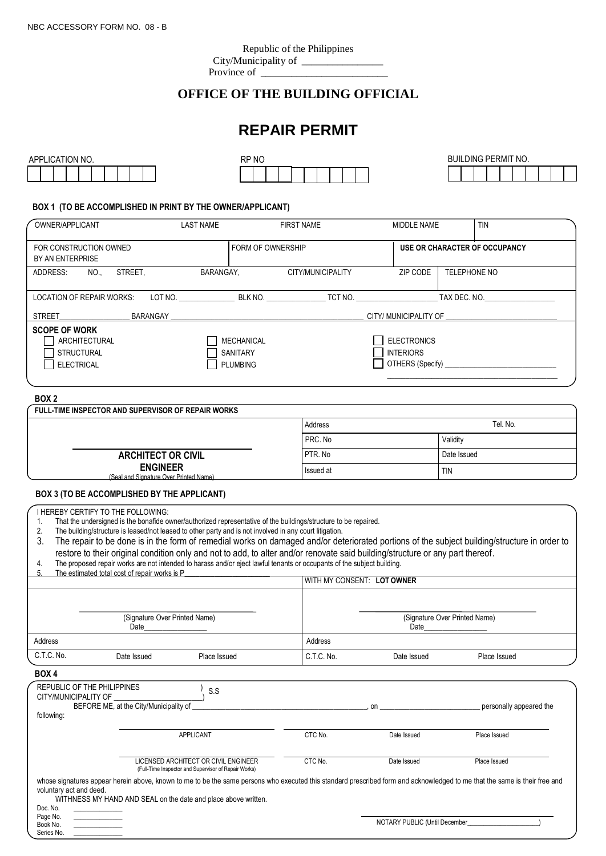## **OFFICE OF THE BUILDING OFFICIAL**

# **REPAIR PERMIT**

| APPLICATION NO. | RP NO | <b>LDING PERMIT NO.</b><br>buil<br>$-$ |
|-----------------|-------|----------------------------------------|
|                 |       |                                        |

### **BOX 1 (TO BE ACCOMPLISHED IN PRINT BY THE OWNER/APPLICANT)**

| OWNER/APPLICANT                                                                 | <b>LAST NAME</b>                                        | <b>FIRST NAME</b> | MIDDLE NAME                                                |              | <b>TIN</b>                    |
|---------------------------------------------------------------------------------|---------------------------------------------------------|-------------------|------------------------------------------------------------|--------------|-------------------------------|
| FOR CONSTRUCTION OWNED<br>BY AN ENTERPRISE                                      | <b>FORM OF OWNERSHIP</b>                                |                   |                                                            |              | USE OR CHARACTER OF OCCUPANCY |
| ADDRESS:<br>NO.,<br>STREET.                                                     | BARANGAY,                                               | CITY/MUNICIPALITY | ZIP CODE                                                   | TELEPHONE NO |                               |
| LOCATION OF REPAIR WORKS.                                                       | LOT NO.<br>BLK NO.                                      | TCT NO.           |                                                            | TAX DEC. NO. |                               |
| BARANGAY<br><b>STREET</b>                                                       |                                                         |                   | CITY/ MUNICIPALITY OF                                      |              |                               |
| <b>SCOPE OF WORK</b><br>ARCHITECTURAL<br><b>STRUCTURAL</b><br><b>ELECTRICAL</b> | <b>MECHANICAL</b><br><b>SANITARY</b><br><b>PLUMBING</b> |                   | <b>ELECTRONICS</b><br><b>INTERIORS</b><br>OTHERS (Specify) |              |                               |

#### **BOX 2**

| FULL-TIME INSPECTOR AND SUPERVISOR OF REPAIR WORKS        |           |             |  |
|-----------------------------------------------------------|-----------|-------------|--|
|                                                           | Address   | Tel. No.    |  |
|                                                           | PRC. No   | Validity    |  |
| <b>ARCHITECT OR CIVIL</b>                                 | PTR. No   | Date Issued |  |
| <b>ENGINEER</b><br>(Seal and Signature Over Printed Name) | Issued at | <b>TIN</b>  |  |

# BOX 3 (TO BE ACCOMPLISHED BY THE APPLICANT)

I HEREBY CERTIFY TO THE FOLLOWING:

1. That the undersigned is the bonafide owner/authorized representative of the buildings/structure to be repaired.<br>2. The building/structure is leased/not leased to other party and is not involved in any court litigation.

The building/structure is leased/not leased to other party and is not involved in any court litigation.

3. The repair to be done is in the form of remedial works on damaged and/or deteriorated portions of the subject building/structure in order to restore to their original condition only and not to add, to alter and/or renovate said building/structure or any part thereof.

4. The proposed repair works are not intended to harass and/or eject lawful tenants or occupants of the subject building.

|            | The estimated total cost of repair works is P |              |            |                                       |              |  |
|------------|-----------------------------------------------|--------------|------------|---------------------------------------|--------------|--|
|            |                                               |              |            | I WITH MY CONSENT: LOT OWNER          |              |  |
|            | (Signature Over Printed Name)<br>Date         |              |            | (Signature Over Printed Name)<br>Date |              |  |
| Address    |                                               |              | Address    |                                       |              |  |
| C.T.C. No. | Date Issued                                   | Place Issued | C.T.C. No. | Date Issued                           | Place Issued |  |

#### **BOX 4**

Page No. Book No. Series No.

| REPUBLIC OF THE PHILIPPINES<br>CITY/MUNICIPALITY OF | S.S<br>BEFORE ME, at the City/Municipality of                                                                                                                                                                                                |         | . on        | personally appeared the |
|-----------------------------------------------------|----------------------------------------------------------------------------------------------------------------------------------------------------------------------------------------------------------------------------------------------|---------|-------------|-------------------------|
| following:                                          |                                                                                                                                                                                                                                              |         |             |                         |
|                                                     | APPLICANT                                                                                                                                                                                                                                    | CTC No. | Date Issued | Place Issued            |
|                                                     | LICENSED ARCHITECT OR CIVIL ENGINEER<br>(Full-Time Inspector and Supervisor of Repair Works)                                                                                                                                                 | CTC No. | Date Issued | Place Issued            |
| voluntary act and deed.<br>Doc. No.                 | whose signatures appear herein above, known to me to be the same persons who executed this standard prescribed form and acknowledged to me that the same is their free and<br>WITHNESS MY HAND AND SEAL on the date and place above written. |         |             |                         |

| ' PI IRI IC<br><b>TARY</b><br>NO.<br>じ (Until December_ |
|---------------------------------------------------------|
|                                                         |
|                                                         |